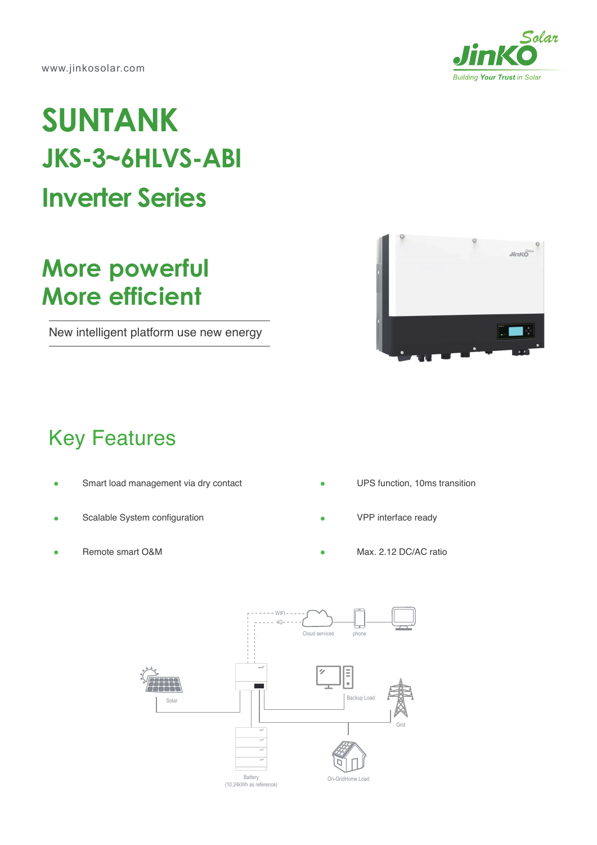www.jinkosolar.com



## **SUNTANK JKS-3~6HLVS-ABI Inverter Series**

## **More powerful More efficient**

New intelligent platform use new energy



## Key Features

- Smart load management via dry contact  $\blacksquare$
- Scalable System configuration
- Remote smart O&M
- UPS function, 10ms transition
- VPP interface ready
- Max. 2.12 DC/AC ratio